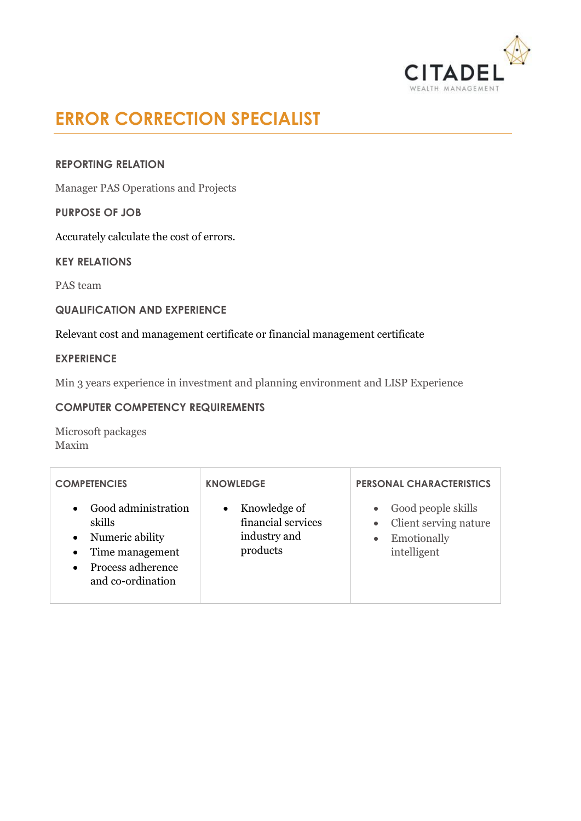

# **ERROR CORRECTION SPECIALIST**

# **REPORTING RELATION**

Manager PAS Operations and Projects

## **PURPOSE OF JOB**

Accurately calculate the cost of errors.

**KEY RELATIONS**

PAS team

# **QUALIFICATION AND EXPERIENCE**

## Relevant cost and management certificate or financial management certificate

## **EXPERIENCE**

Min 3 years experience in investment and planning environment and LISP Experience

# **COMPUTER COMPETENCY REQUIREMENTS**

Microsoft packages Maxim

| <b>COMPETENCIES</b>                                                                                                                                               | <b>KNOWLEDGE</b>                                                            | <b>PERSONAL CHARACTERISTICS</b>                                                                     |
|-------------------------------------------------------------------------------------------------------------------------------------------------------------------|-----------------------------------------------------------------------------|-----------------------------------------------------------------------------------------------------|
| Good administration<br>$\bullet$<br>skills<br>Numeric ability<br>$\bullet$<br>Time management<br>$\bullet$<br>Process adherence<br>$\bullet$<br>and co-ordination | Knowledge of<br>$\bullet$<br>financial services<br>industry and<br>products | Good people skills<br>$\bullet$<br>Client serving nature<br>Emotionally<br>$\bullet$<br>intelligent |